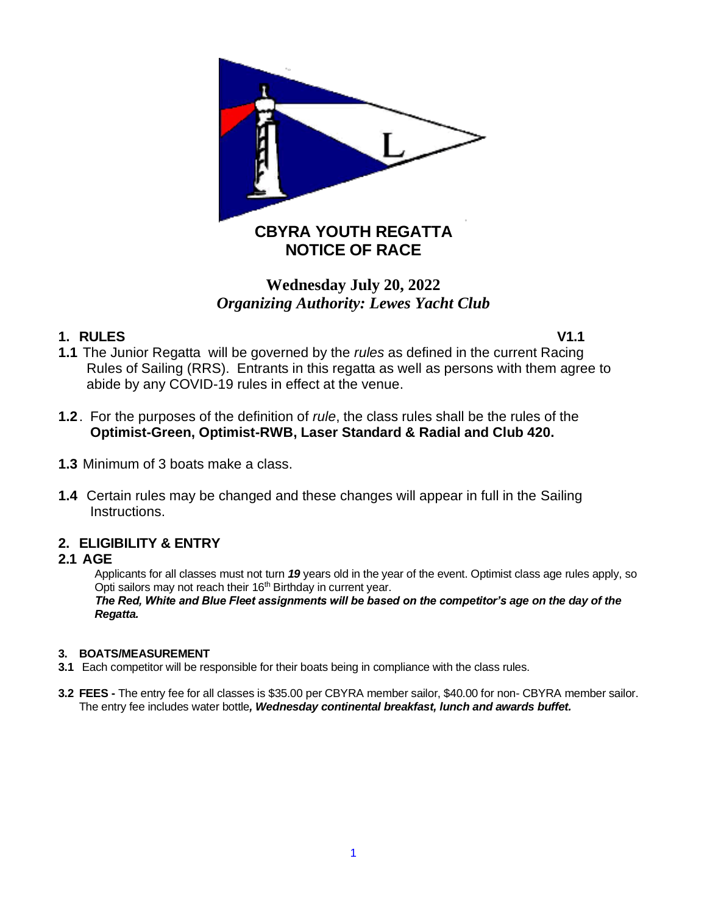

# **Wednesday July 20, 2022** *Organizing Authority: Lewes Yacht Club*

## **1. RULES V1.1**

- **1.1** The Junior Regatta will be governed by the *rules* as defined in the current Racing Rules of Sailing (RRS). Entrants in this regatta as well as persons with them agree to abide by any COVID-19 rules in effect at the venue.
- **1.2**. For the purposes of the definition of *rule*, the class rules shall be the rules of the **Optimist-Green, Optimist-RWB, Laser Standard & Radial and Club 420.**
- **1.3** Minimum of 3 boats make a class.
- **1.4** Certain rules may be changed and these changes will appear in full in the Sailing Instructions.

### **2. ELIGIBILITY & ENTRY**

### **2.1 AGE**

Applicants for all classes must not turn *19* years old in the year of the event. Optimist class age rules apply, so Opti sailors may not reach their 16<sup>th</sup> Birthday in current year.

*The Red, White and Blue Fleet assignments will be based on the competitor's age on the day of the Regatta.*

#### **3. BOATS/MEASUREMENT**

- **3.1** Each competitor will be responsible for their boats being in compliance with the class rules.
- **3.2 FEES -** The entry fee for all classes is \$35.00 per CBYRA member sailor, \$40.00 for non- CBYRA member sailor. The entry fee includes water bottle*, Wednesday continental breakfast, lunch and awards buffet.*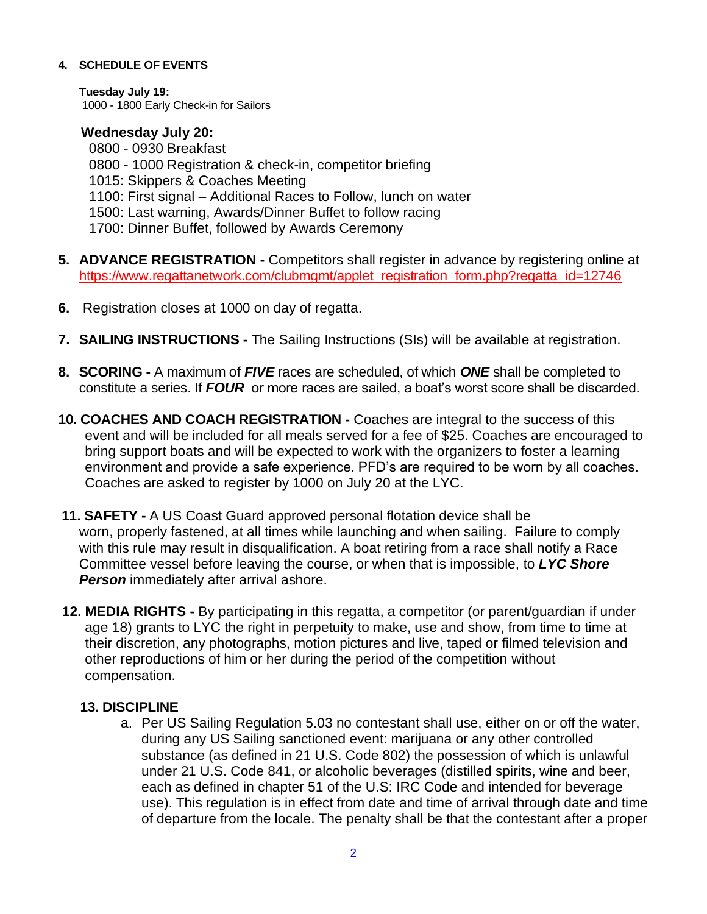#### **4. SCHEDULE OF EVENTS**

**Tuesday July 19:** 1000 - 1800 Early Check-in for Sailors

### **Wednesday July 20:**

 0800 - 0930 Breakfast 0800 - 1000 Registration & check-in, competitor briefing 1015: Skippers & Coaches Meeting 1100: First signal – Additional Races to Follow, lunch on water 1500: Last warning, Awards/Dinner Buffet to follow racing 1700: Dinner Buffet, followed by Awards Ceremony

- **5. ADVANCE REGISTRATION -** Competitors shall register in advance by registering online at [https://www.regattanetwork.com/clubmgmt/applet\\_registration\\_form.php?regatta\\_id=12746](https://www.regattanetwork.com/clubmgmt/applet_registration_form.php?regatta_id=12746)
- **6.** Registration closes at 1000 on day of regatta.
- **7. SAILING INSTRUCTIONS -** The Sailing Instructions (SIs) will be available at registration.
- **8. SCORING -** A maximum of *FIVE* races are scheduled, of which *ONE* shall be completed to constitute a series. If *FOUR* or more races are sailed, a boat's worst score shall be discarded.
- **10. COACHES AND COACH REGISTRATION -** Coaches are integral to the success of this event and will be included for all meals served for a fee of \$25. Coaches are encouraged to bring support boats and will be expected to work with the organizers to foster a learning environment and provide a safe experience. PFD's are required to be worn by all coaches. Coaches are asked to register by 1000 on July 20 at the LYC.
- **11. SAFETY -** A US Coast Guard approved personal flotation device shall be worn, properly fastened, at all times while launching and when sailing. Failure to comply with this rule may result in disqualification. A boat retiring from a race shall notify a Race Committee vessel before leaving the course, or when that is impossible, to *LYC Shore Person* immediately after arrival ashore.
- **12. MEDIA RIGHTS -** By participating in this regatta, a competitor (or parent/guardian if under age 18) grants to LYC the right in perpetuity to make, use and show, from time to time at their discretion, any photographs, motion pictures and live, taped or filmed television and other reproductions of him or her during the period of the competition without compensation.

### **13. DISCIPLINE**

a. Per US Sailing Regulation 5.03 no contestant shall use, either on or off the water, during any US Sailing sanctioned event: marijuana or any other controlled substance (as defined in 21 U.S. Code 802) the possession of which is unlawful under 21 U.S. Code 841, or alcoholic beverages (distilled spirits, wine and beer, each as defined in chapter 51 of the U.S: IRC Code and intended for beverage use). This regulation is in effect from date and time of arrival through date and time of departure from the locale. The penalty shall be that the contestant after a proper